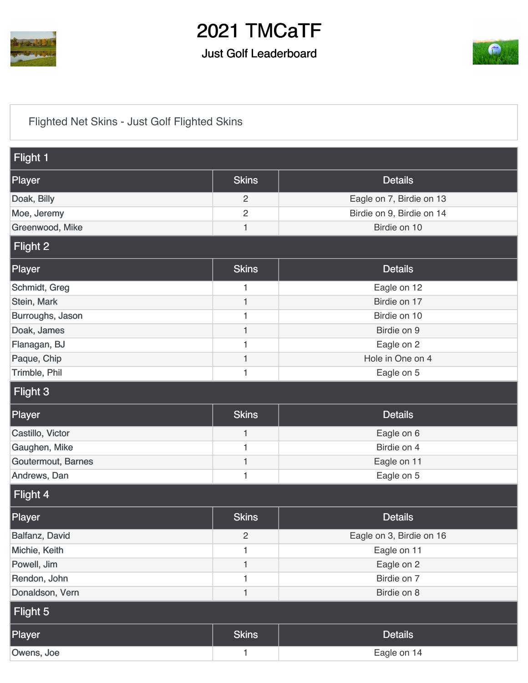

## 2021 TMCaTF

#### Just Golf Leaderboard



### [Flighted Net Skins - Just Golf Flighted Skins](https://cdn2.golfgenius.com/v2tournaments/7506398481024563777?called_from=&round_index=13)

| Flight 1           |                |                           |
|--------------------|----------------|---------------------------|
| Player             | <b>Skins</b>   | <b>Details</b>            |
| Doak, Billy        | $\overline{c}$ | Eagle on 7, Birdie on 13  |
| Moe, Jeremy        | $\overline{2}$ | Birdie on 9, Birdie on 14 |
| Greenwood, Mike    | $\mathbf{1}$   | Birdie on 10              |
| Flight 2           |                |                           |
| Player             | <b>Skins</b>   | <b>Details</b>            |
| Schmidt, Greg      | 1              | Eagle on 12               |
| Stein, Mark        | $\mathbf{1}$   | Birdie on 17              |
| Burroughs, Jason   | 1              | Birdie on 10              |
| Doak, James        | $\mathbf{1}$   | Birdie on 9               |
| Flanagan, BJ       | $\mathbf{1}$   | Eagle on 2                |
| Paque, Chip        | $\mathbf{1}$   | Hole in One on 4          |
| Trimble, Phil      | 1              | Eagle on 5                |
| Flight 3           |                |                           |
| Player             | <b>Skins</b>   | <b>Details</b>            |
|                    |                |                           |
| Castillo, Victor   | $\mathbf{1}$   | Eagle on 6                |
| Gaughen, Mike      | 1              | Birdie on 4               |
| Goutermout, Barnes | $\mathbf{1}$   | Eagle on 11               |
| Andrews, Dan       | 1              | Eagle on 5                |
| Flight 4           |                |                           |
| Player             | <b>Skins</b>   | <b>Details</b>            |
| Balfanz, David     | $\sqrt{2}$     | Eagle on 3, Birdie on 16  |
| Michie, Keith      | 1              | Eagle on 11               |
| Powell, Jim        | $\mathbf{1}$   | Eagle on 2                |
| Rendon, John       | $\mathbf{1}$   | Birdie on 7               |
| Donaldson, Vern    | $\mathbf{1}$   | Birdie on 8               |
| Flight 5           |                |                           |
| Player             | <b>Skins</b>   | <b>Details</b>            |